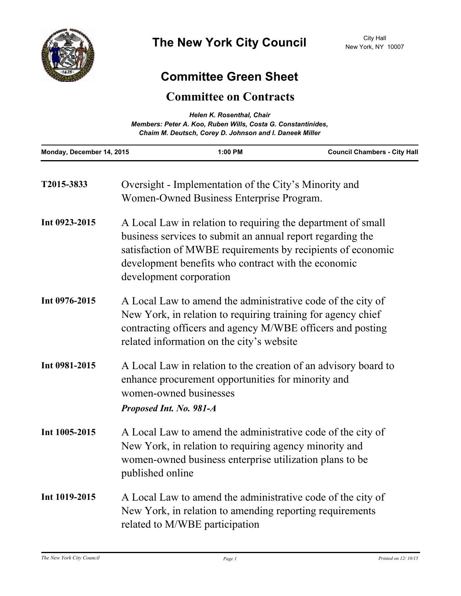

## **Committee Green Sheet**

## **Committee on Contracts**

| Helen K. Rosenthal, Chair<br>Members: Peter A. Koo, Ruben Wills, Costa G. Constantinides,<br>Chaim M. Deutsch, Corey D. Johnson and I. Daneek Miller |                                                                                                                                                                                                                                                                             |                                                                                                                   |                                                                                                                                                                                           |
|------------------------------------------------------------------------------------------------------------------------------------------------------|-----------------------------------------------------------------------------------------------------------------------------------------------------------------------------------------------------------------------------------------------------------------------------|-------------------------------------------------------------------------------------------------------------------|-------------------------------------------------------------------------------------------------------------------------------------------------------------------------------------------|
| Monday, December 14, 2015                                                                                                                            |                                                                                                                                                                                                                                                                             | 1:00 PM                                                                                                           | <b>Council Chambers - City Hall</b>                                                                                                                                                       |
| T2015-3833                                                                                                                                           |                                                                                                                                                                                                                                                                             | Oversight - Implementation of the City's Minority and<br>Women-Owned Business Enterprise Program.                 |                                                                                                                                                                                           |
| Int 0923-2015                                                                                                                                        | A Local Law in relation to requiring the department of small<br>business services to submit an annual report regarding the<br>satisfaction of MWBE requirements by recipients of economic<br>development benefits who contract with the economic<br>development corporation |                                                                                                                   |                                                                                                                                                                                           |
| Int 0976-2015                                                                                                                                        |                                                                                                                                                                                                                                                                             | related information on the city's website                                                                         | A Local Law to amend the administrative code of the city of<br>New York, in relation to requiring training for agency chief<br>contracting officers and agency M/WBE officers and posting |
| Int 0981-2015                                                                                                                                        | women-owned businesses<br>Proposed Int. No. 981-A                                                                                                                                                                                                                           | enhance procurement opportunities for minority and                                                                | A Local Law in relation to the creation of an advisory board to                                                                                                                           |
| Int 1005-2015                                                                                                                                        | published online                                                                                                                                                                                                                                                            | New York, in relation to requiring agency minority and<br>women-owned business enterprise utilization plans to be | A Local Law to amend the administrative code of the city of                                                                                                                               |
| Int 1019-2015                                                                                                                                        |                                                                                                                                                                                                                                                                             | New York, in relation to amending reporting requirements<br>related to M/WBE participation                        | A Local Law to amend the administrative code of the city of                                                                                                                               |